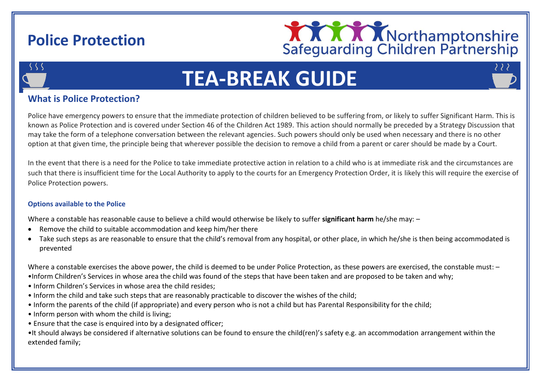## **Police Protection**



2 2 2



# **TEA-BREAK GUIDE**

### **What is Police Protection?**

Police have emergency powers to ensure that the immediate protection of children believed to be suffering from, or likely to suffer Significant Harm. This is known as Police Protection and is covered under Section 46 of the Children Act 1989. This action should normally be preceded by a Strategy Discussion that may take the form of a telephone conversation between the relevant agencies. Such powers should only be used when necessary and there is no other option at that given time, the principle being that wherever possible the decision to remove a child from a parent or carer should be made by a Court.

In the event that there is a need for the Police to take immediate protective action in relation to a child who is at immediate risk and the circumstances are such that there is insufficient time for the Local Authority to apply to the courts for an Emergency Protection Order, it is likely this will require the exercise of Police Protection powers.

#### **Options available to the Police**

Where a constable has reasonable cause to believe a child would otherwise be likely to suffer **significant harm** he/she may: –

- Remove the child to suitable accommodation and keep him/her there
- Take such steps as are reasonable to ensure that the child's removal from any hospital, or other place, in which he/she is then being accommodated is prevented

Where a constable exercises the above power, the child is deemed to be under Police Protection, as these powers are exercised, the constable must: -

- •Inform Children's Services in whose area the child was found of the steps that have been taken and are proposed to be taken and why;
- Inform Children's Services in whose area the child resides;
- Inform the child and take such steps that are reasonably practicable to discover the wishes of the child;
- Inform the parents of the child (if appropriate) and every person who is not a child but has Parental Responsibility for the child;
- Inform person with whom the child is living:
- Ensure that the case is enquired into by a designated officer;

•It should always be considered if alternative solutions can be found to ensure the child(ren)'s safety e.g. an accommodation arrangement within the extended family;